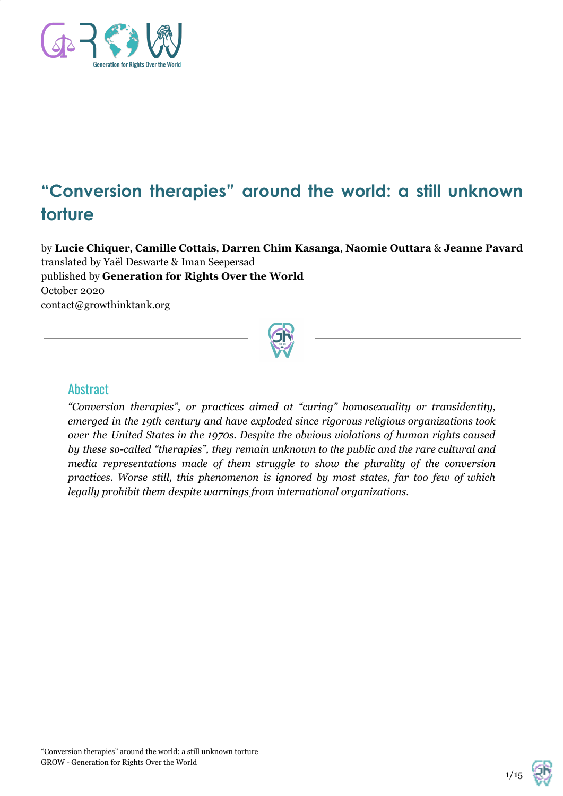

# **"Conversion therapies" around the world: a still unknown torture**

by **Lucie Chiquer**, **Camille Cottais**, **Darren Chim Kasanga**, **Naomie Outtara** & **Jeanne Pavard** translated by Yaël Deswarte & Iman Seepersad published by **Generation for Rights Over the World** October 2020 contact@growthinktank.org



#### **Abstract**

*"Conversion therapies", or practices aimed at "curing" homosexuality or transidentity, emerged in the 19th century and have exploded since rigorous religious organizations took over the United States in the 1970s. Despite the obvious violations of human rights caused by these so-called "therapies", they remain unknown to the public and the rare cultural and media representations made of them struggle to show the plurality of the conversion practices. Worse still, this phenomenon is ignored by most states, far too few of which legally prohibit them despite warnings from international organizations.*

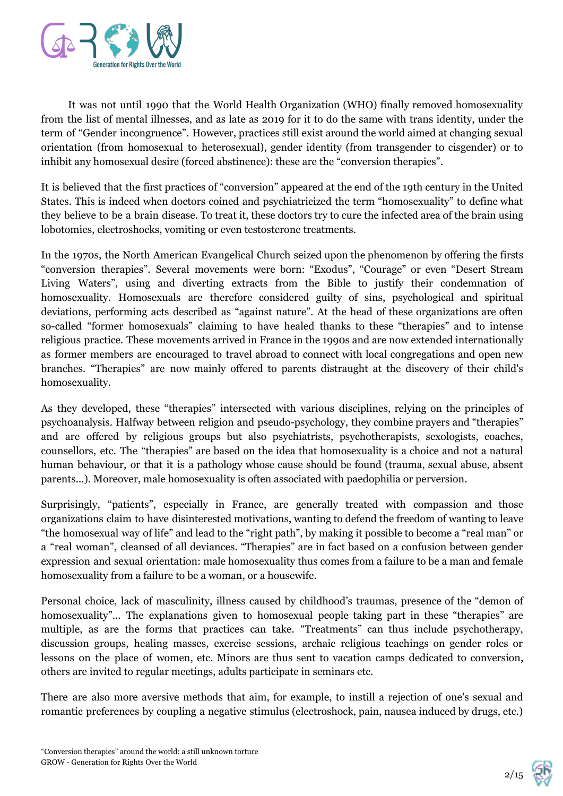

It was not until 1990 that the World Health Organization (WHO) finally removed homosexuality from the list of mental illnesses, and as late as 2019 for it to do the same with trans identity, under the term of "Gender incongruence". However, practices still exist around the world aimed at changing sexual orientation (from homosexual to heterosexual), gender identity (from transgender to cisgender) or to inhibit any homosexual desire (forced abstinence): these are the "conversion therapies".

It is believed that the first practices of "conversion" appeared at the end of the 19th century in the United States. This is indeed when doctors coined and psychiatricized the term "homosexuality" to define what they believe to be a brain disease. To treat it, these doctors try to cure the infected area of the brain using lobotomies, electroshocks, vomiting or even testosterone treatments.

In the 1970s, the North American Evangelical Church seized upon the phenomenon by offering the firsts "conversion therapies". Several movements were born: "Exodus", "Courage" or even "Desert Stream Living Waters", using and diverting extracts from the Bible to justify their condemnation of homosexuality. Homosexuals are therefore considered guilty of sins, psychological and spiritual deviations, performing acts described as "against nature". At the head of these organizations are often so-called "former homosexuals" claiming to have healed thanks to these "therapies" and to intense religious practice. These movements arrived in France in the 1990s and are now extended internationally as former members are encouraged to travel abroad to connect with local congregations and open new branches. "Therapies" are now mainly offered to parents distraught at the discovery of their child's homosexuality.

As they developed, these "therapies" intersected with various disciplines, relying on the principles of psychoanalysis. Halfway between religion and pseudo-psychology, they combine prayers and "therapies" and are offered by religious groups but also psychiatrists, psychotherapists, sexologists, coaches, counsellors, etc. The "therapies" are based on the idea that homosexuality is a choice and not a natural human behaviour, or that it is a pathology whose cause should be found (trauma, sexual abuse, absent parents...). Moreover, male homosexuality is often associated with paedophilia or perversion.

Surprisingly, "patients", especially in France, are generally treated with compassion and those organizations claim to have disinterested motivations, wanting to defend the freedom of wanting to leave "the homosexual way of life" and lead to the "right path", by making it possible to become a "real man" or a "real woman", cleansed of all deviances. "Therapies" are in fact based on a confusion between gender expression and sexual orientation: male homosexuality thus comes from a failure to be a man and female homosexuality from a failure to be a woman, or a housewife.

Personal choice, lack of masculinity, illness caused by childhood's traumas, presence of the "demon of homosexuality"... The explanations given to homosexual people taking part in these "therapies" are multiple, as are the forms that practices can take. "Treatments" can thus include psychotherapy, discussion groups, healing masses, exercise sessions, archaic religious teachings on gender roles or lessons on the place of women, etc. Minors are thus sent to vacation camps dedicated to conversion, others are invited to regular meetings, adults participate in seminars etc.

There are also more aversive methods that aim, for example, to instill a rejection of one's sexual and romantic preferences by coupling a negative stimulus (electroshock, pain, nausea induced by drugs, etc.)

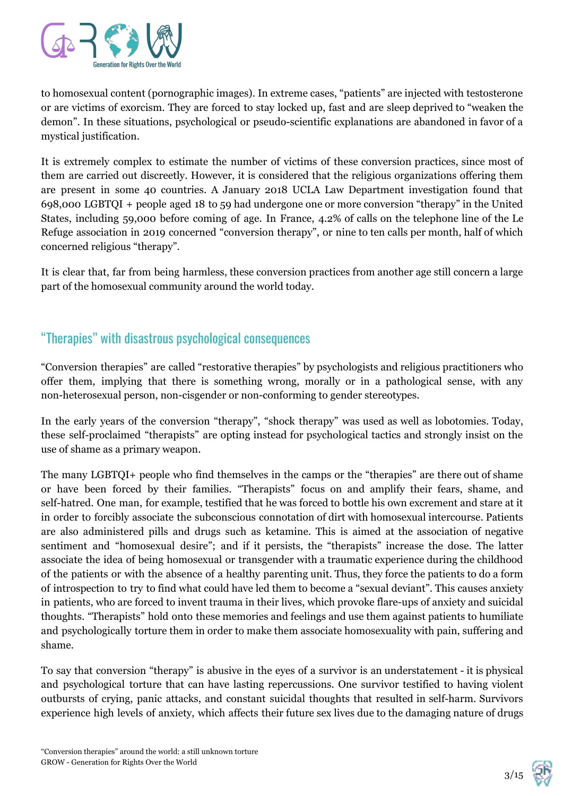

to homosexual content (pornographic images). In extreme cases, "patients" are injected with testosterone or are victims of exorcism. They are forced to stay locked up, fast and are sleep deprived to "weaken the demon". In these situations, psychological or pseudo-scientific explanations are abandoned in favor of a mystical justification.

It is extremely complex to estimate the number of victims of these conversion practices, since most of them are carried out discreetly. However, it is considered that the religious organizations offering them are present in some 40 countries. A January 2018 UCLA Law Department investigation found that 698,000 LGBTQI + people aged 18 to 59 had undergone one or more conversion "therapy" in the United States, including 59,000 before coming of age. In France, 4.2% of calls on the telephone line of the Le Refuge association in 2019 concerned "conversion therapy", or nine to ten calls per month, half of which concerned religious "therapy".

It is clear that, far from being harmless, these conversion practices from another age still concern a large part of the homosexual community around the world today.

# "Therapies" with disastrous psychological consequences

"Conversion therapies" are called "restorative therapies" by psychologists and religious practitioners who offer them, implying that there is something wrong, morally or in a pathological sense, with any non-heterosexual person, non-cisgender or non-conforming to gender stereotypes.

In the early years of the conversion "therapy", "shock therapy" was used as well as lobotomies. Today, these self-proclaimed "therapists" are opting instead for psychological tactics and strongly insist on the use of shame as a primary weapon.

The many LGBTQI+ people who find themselves in the camps or the "therapies" are there out of shame or have been forced by their families. "Therapists" focus on and amplify their fears, shame, and self-hatred. One man, for example, testified that he was forced to bottle his own excrement and stare at it in order to forcibly associate the subconscious connotation of dirt with homosexual intercourse. Patients are also administered pills and drugs such as ketamine. This is aimed at the association of negative sentiment and "homosexual desire"; and if it persists, the "therapists" increase the dose. The latter associate the idea of being homosexual or transgender with a traumatic experience during the childhood of the patients or with the absence of a healthy parenting unit. Thus, they force the patients to do a form of introspection to try to find what could have led them to become a "sexual deviant". This causes anxiety in patients, who are forced to invent trauma in their lives, which provoke flare-ups of anxiety and suicidal thoughts. "Therapists" hold onto these memories and feelings and use them against patients to humiliate and psychologically torture them in order to make them associate homosexuality with pain, suffering and shame.

To say that conversion "therapy" is abusive in the eyes of a survivor is an understatement - it is physical and psychological torture that can have lasting repercussions. One survivor testified to having violent outbursts of crying, panic attacks, and constant suicidal thoughts that resulted in self-harm. Survivors experience high levels of anxiety, which affects their future sex lives due to the damaging nature of drugs

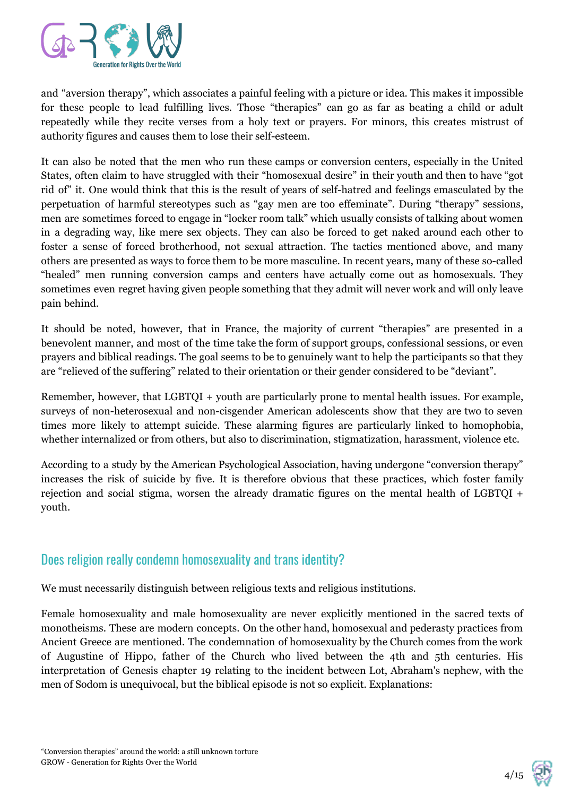

and "aversion therapy", which associates a painful feeling with a picture or idea. This makes it impossible for these people to lead fulfilling lives. Those "therapies" can go as far as beating a child or adult repeatedly while they recite verses from a holy text or prayers. For minors, this creates mistrust of authority figures and causes them to lose their self-esteem.

It can also be noted that the men who run these camps or conversion centers, especially in the United States, often claim to have struggled with their "homosexual desire" in their youth and then to have "got rid of" it. One would think that this is the result of years of self-hatred and feelings emasculated by the perpetuation of harmful stereotypes such as "gay men are too effeminate". During "therapy" sessions, men are sometimes forced to engage in "locker room talk" which usually consists of talking about women in a degrading way, like mere sex objects. They can also be forced to get naked around each other to foster a sense of forced brotherhood, not sexual attraction. The tactics mentioned above, and many others are presented as ways to force them to be more masculine. In recent years, many of these so-called "healed" men running conversion camps and centers have actually come out as homosexuals. They sometimes even regret having given people something that they admit will never work and will only leave pain behind.

It should be noted, however, that in France, the majority of current "therapies" are presented in a benevolent manner, and most of the time take the form of support groups, confessional sessions, or even prayers and biblical readings. The goal seems to be to genuinely want to help the participants so that they are "relieved of the suffering" related to their orientation or their gender considered to be "deviant".

Remember, however, that LGBTQI + youth are particularly prone to mental health issues. For example, surveys of non-heterosexual and non-cisgender American adolescents show that they are two to seven times more likely to attempt suicide. These alarming figures are particularly linked to homophobia, whether internalized or from others, but also to discrimination, stigmatization, harassment, violence etc.

According to a study by the American Psychological Association, having undergone "conversion therapy" increases the risk of suicide by five. It is therefore obvious that these practices, which foster family rejection and social stigma, worsen the already dramatic figures on the mental health of LGBTQI + youth.

# Does religion really condemn homosexuality and trans identity?

We must necessarily distinguish between religious texts and religious institutions.

Female homosexuality and male homosexuality are never explicitly mentioned in the sacred texts of monotheisms. These are modern concepts. On the other hand, homosexual and pederasty practices from Ancient Greece are mentioned. The condemnation of homosexuality by the Church comes from the work of Augustine of Hippo, father of the Church who lived between the 4th and 5th centuries. His interpretation of Genesis chapter 19 relating to the incident between Lot, Abraham's nephew, with the men of Sodom is unequivocal, but the biblical episode is not so explicit. Explanations:

$$
4/15 \quad \circled{2}
$$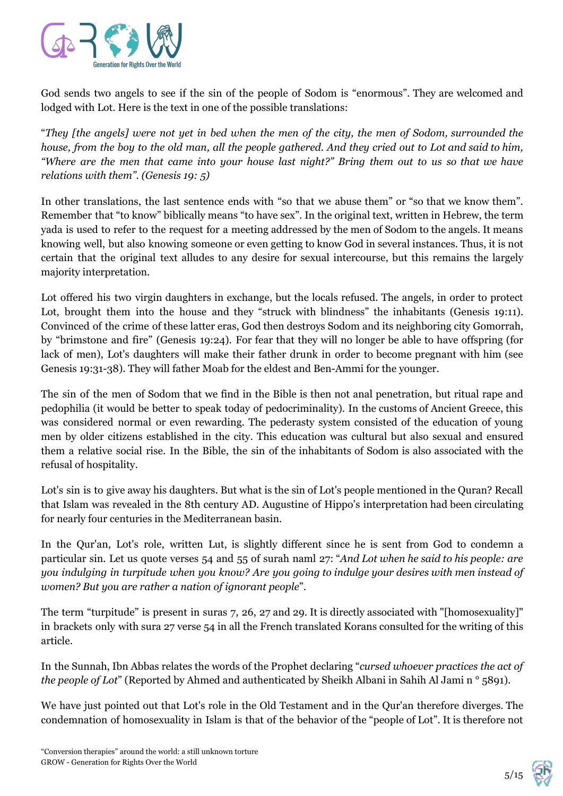

God sends two angels to see if the sin of the people of Sodom is "enormous". They are welcomed and lodged with Lot. Here is the text in one of the possible translations:

"They [the angels] were not yet in bed when the men of the city, the men of Sodom, surrounded the house, from the boy to the old man, all the people gathered. And they cried out to Lot and said to him, "Where are the men that came into your house last night?" Bring them out to us so that we have *relations with them". (Genesis 19: 5)*

In other translations, the last sentence ends with "so that we abuse them" or "so that we know them". Remember that "to know" biblically means "to have sex". In the original text, written in Hebrew, the term yada is used to refer to the request for a meeting addressed by the men of Sodom to the angels. It means knowing well, but also knowing someone or even getting to know God in several instances. Thus, it is not certain that the original text alludes to any desire for sexual intercourse, but this remains the largely majority interpretation.

Lot offered his two virgin daughters in exchange, but the locals refused. The angels, in order to protect Lot, brought them into the house and they "struck with blindness" the inhabitants (Genesis 19:11). Convinced of the crime of these latter eras, God then destroys Sodom and its neighboring city Gomorrah, by "brimstone and fire" (Genesis 19:24). For fear that they will no longer be able to have offspring (for lack of men), Lot's daughters will make their father drunk in order to become pregnant with him (see Genesis 19:31-38). They will father Moab for the eldest and Ben-Ammi for the younger.

The sin of the men of Sodom that we find in the Bible is then not anal penetration, but ritual rape and pedophilia (it would be better to speak today of pedocriminality). In the customs of Ancient Greece, this was considered normal or even rewarding. The pederasty system consisted of the education of young men by older citizens established in the city. This education was cultural but also sexual and ensured them a relative social rise. In the Bible, the sin of the inhabitants of Sodom is also associated with the refusal of hospitality.

Lot's sin is to give away his daughters. But what is the sin of Lot's people mentioned in the Quran? Recall that Islam was revealed in the 8th century AD. Augustine of Hippo's interpretation had been circulating for nearly four centuries in the Mediterranean basin.

In the Qur'an, Lot's role, written Lut, is slightly different since he is sent from God to condemn a particular sin. Let us quote verses 54 and 55 of surah naml 27: "*And Lot when he said to his people: are* you indulging in turpitude when you know? Are you going to indulge your desires with men instead of *women? But you are rather a nation of ignorant people*".

The term "turpitude" is present in suras 7, 26, 27 and 29. It is directly associated with "[homosexuality]" in brackets only with sura 27 verse 54 in all the French translated Korans consulted for the writing of this article.

In the Sunnah, Ibn Abbas relates the words of the Prophet declaring "*cursed whoever practices the act of the people of Lot*" (Reported by Ahmed and authenticated by Sheikh Albani in Sahih Al Jami n ° 5891).

We have just pointed out that Lot's role in the Old Testament and in the Qur'an therefore diverges. The condemnation of homosexuality in Islam is that of the behavior of the "people of Lot". It is therefore not

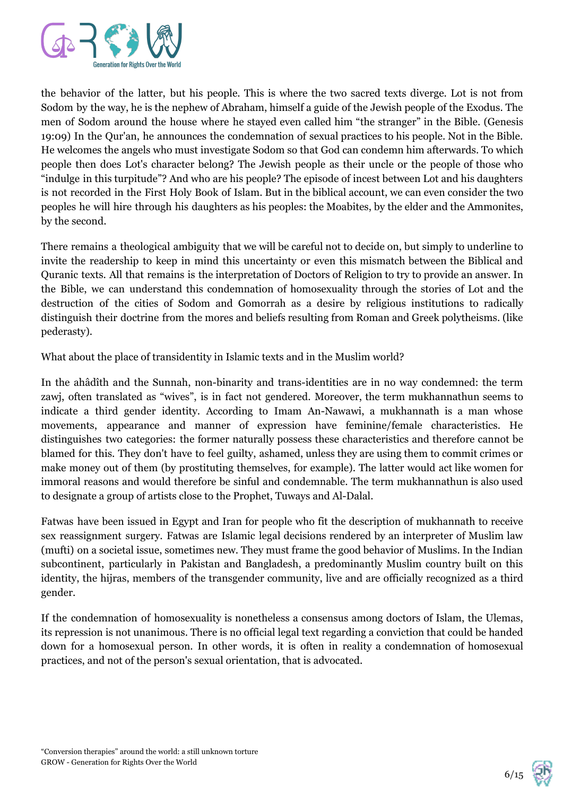

the behavior of the latter, but his people. This is where the two sacred texts diverge. Lot is not from Sodom by the way, he is the nephew of Abraham, himself a guide of the Jewish people of the Exodus. The men of Sodom around the house where he stayed even called him "the stranger" in the Bible. (Genesis 19:09) In the Qur'an, he announces the condemnation of sexual practices to his people. Not in the Bible. He welcomes the angels who must investigate Sodom so that God can condemn him afterwards. To which people then does Lot's character belong? The Jewish people as their uncle or the people of those who "indulge in this turpitude"? And who are his people? The episode of incest between Lot and his daughters is not recorded in the First Holy Book of Islam. But in the biblical account, we can even consider the two peoples he will hire through his daughters as his peoples: the Moabites, by the elder and the Ammonites, by the second.

There remains a theological ambiguity that we will be careful not to decide on, but simply to underline to invite the readership to keep in mind this uncertainty or even this mismatch between the Biblical and Quranic texts. All that remains is the interpretation of Doctors of Religion to try to provide an answer. In the Bible, we can understand this condemnation of homosexuality through the stories of Lot and the destruction of the cities of Sodom and Gomorrah as a desire by religious institutions to radically distinguish their doctrine from the mores and beliefs resulting from Roman and Greek polytheisms. (like pederasty).

What about the place of transidentity in Islamic texts and in the Muslim world?

In the ahâdîth and the Sunnah, non-binarity and trans-identities are in no way condemned: the term zawj, often translated as "wives", is in fact not gendered. Moreover, the term mukhannathun seems to indicate a third gender identity. According to Imam An-Nawawi, a mukhannath is a man whose movements, appearance and manner of expression have feminine/female characteristics. He distinguishes two categories: the former naturally possess these characteristics and therefore cannot be blamed for this. They don't have to feel guilty, ashamed, unless they are using them to commit crimes or make money out of them (by prostituting themselves, for example). The latter would act like women for immoral reasons and would therefore be sinful and condemnable. The term mukhannathun is also used to designate a group of artists close to the Prophet, Tuways and Al-Dalal.

Fatwas have been issued in Egypt and Iran for people who fit the description of mukhannath to receive sex reassignment surgery. Fatwas are Islamic legal decisions rendered by an interpreter of Muslim law (mufti) on a societal issue, sometimes new. They must frame the good behavior of Muslims. In the Indian subcontinent, particularly in Pakistan and Bangladesh, a predominantly Muslim country built on this identity, the hijras, members of the transgender community, live and are officially recognized as a third gender.

If the condemnation of homosexuality is nonetheless a consensus among doctors of Islam, the Ulemas, its repression is not unanimous. There is no official legal text regarding a conviction that could be handed down for a homosexual person. In other words, it is often in reality a condemnation of homosexual practices, and not of the person's sexual orientation, that is advocated.

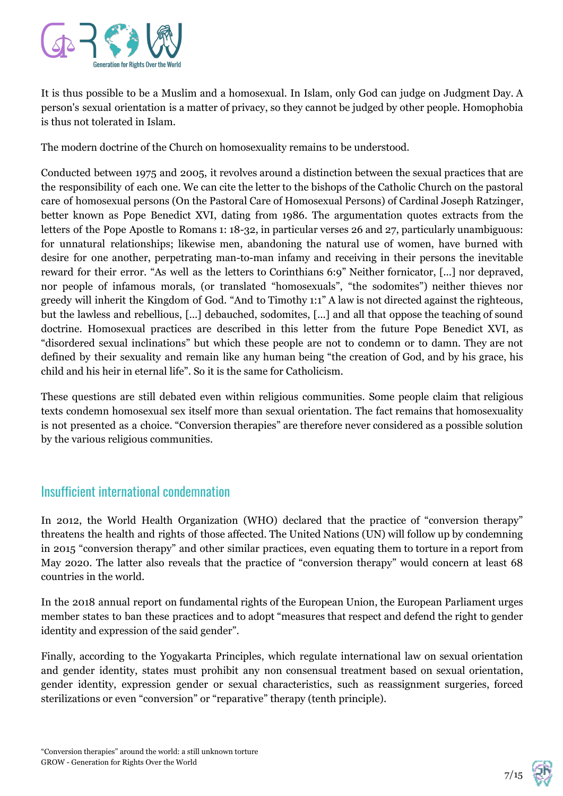

It is thus possible to be a Muslim and a homosexual. In Islam, only God can judge on Judgment Day. A person's sexual orientation is a matter of privacy, so they cannot be judged by other people. Homophobia is thus not tolerated in Islam.

The modern doctrine of the Church on homosexuality remains to be understood.

Conducted between 1975 and 2005, it revolves around a distinction between the sexual practices that are the responsibility of each one. We can cite the letter to the bishops of the Catholic Church on the pastoral care of homosexual persons (On the Pastoral Care of Homosexual Persons) of Cardinal Joseph Ratzinger, better known as Pope Benedict XVI, dating from 1986. The argumentation quotes extracts from the letters of the Pope Apostle to Romans 1: 18-32, in particular verses 26 and 27, particularly unambiguous: for unnatural relationships; likewise men, abandoning the natural use of women, have burned with desire for one another, perpetrating man-to-man infamy and receiving in their persons the inevitable reward for their error. "As well as the letters to Corinthians 6:9" Neither fornicator, [...] nor depraved, nor people of infamous morals, (or translated "homosexuals", "the sodomites") neither thieves nor greedy will inherit the Kingdom of God. "And to Timothy 1:1" A law is not directed against the righteous, but the lawless and rebellious, [...] debauched, sodomites, [...] and all that oppose the teaching of sound doctrine. Homosexual practices are described in this letter from the future Pope Benedict XVI, as "disordered sexual inclinations" but which these people are not to condemn or to damn. They are not defined by their sexuality and remain like any human being "the creation of God, and by his grace, his child and his heir in eternal life". So it is the same for Catholicism.

These questions are still debated even within religious communities. Some people claim that religious texts condemn homosexual sex itself more than sexual orientation. The fact remains that homosexuality is not presented as a choice. "Conversion therapies" are therefore never considered as a possible solution by the various religious communities.

# Insufficient international condemnation

In 2012, the World Health Organization (WHO) declared that the practice of "conversion therapy" threatens the health and rights of those affected. The United Nations (UN) will follow up by condemning in 2015 "conversion therapy" and other similar practices, even equating them to torture in a report from May 2020. The latter also reveals that the practice of "conversion therapy" would concern at least 68 countries in the world.

In the 2018 annual report on fundamental rights of the European Union, the European Parliament urges member states to ban these practices and to adopt "measures that respect and defend the right to gender identity and expression of the said gender".

Finally, according to the Yogyakarta Principles, which regulate international law on sexual orientation and gender identity, states must prohibit any non consensual treatment based on sexual orientation, gender identity, expression gender or sexual characteristics, such as reassignment surgeries, forced sterilizations or even "conversion" or "reparative" therapy (tenth principle).

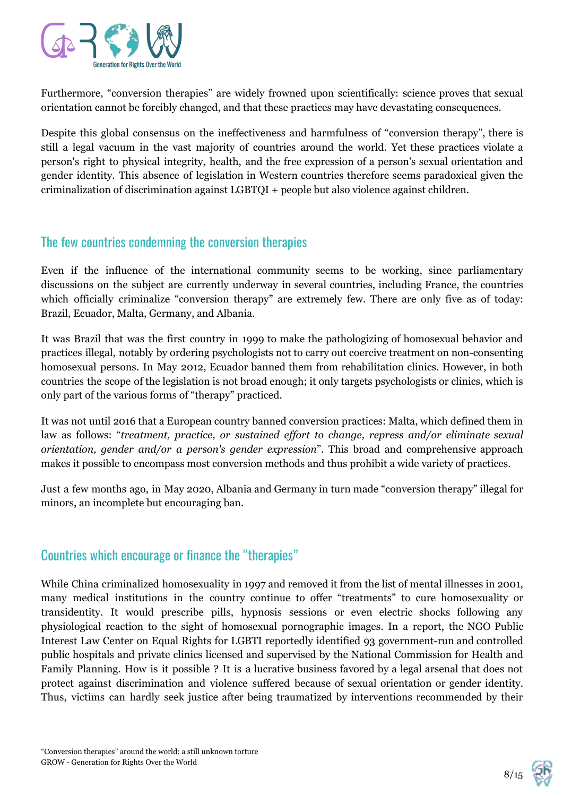

Furthermore, "conversion therapies" are widely frowned upon scientifically: science proves that sexual orientation cannot be forcibly changed, and that these practices may have devastating consequences.

Despite this global consensus on the ineffectiveness and harmfulness of "conversion therapy", there is still a legal vacuum in the vast majority of countries around the world. Yet these practices violate a person's right to physical integrity, health, and the free expression of a person's sexual orientation and gender identity. This absence of legislation in Western countries therefore seems paradoxical given the criminalization of discrimination against LGBTQI + people but also violence against children.

#### The few countries condemning the conversion therapies

Even if the influence of the international community seems to be working, since parliamentary discussions on the subject are currently underway in several countries, including France, the countries which officially criminalize "conversion therapy" are extremely few. There are only five as of today: Brazil, Ecuador, Malta, Germany, and Albania.

It was Brazil that was the first country in 1999 to make the pathologizing of homosexual behavior and practices illegal, notably by ordering psychologists not to carry out coercive treatment on non-consenting homosexual persons. In May 2012, Ecuador banned them from rehabilitation clinics. However, in both countries the scope of the legislation is not broad enough; it only targets psychologists or clinics, which is only part of the various forms of "therapy" practiced.

It was not until 2016 that a European country banned conversion practices: Malta, which defined them in law as follows: "*treatment, practice, or sustained ef ort to change, repress and/or eliminate sexual orientation, gender and/or a person's gender expression*". This broad and comprehensive approach makes it possible to encompass most conversion methods and thus prohibit a wide variety of practices.

Just a few months ago, in May 2020, Albania and Germany in turn made "conversion therapy" illegal for minors, an incomplete but encouraging ban.

#### Countries which encourage or finance the "therapies"

While China criminalized homosexuality in 1997 and removed it from the list of mental illnesses in 2001, many medical institutions in the country continue to offer "treatments" to cure homosexuality or transidentity. It would prescribe pills, hypnosis sessions or even electric shocks following any physiological reaction to the sight of homosexual pornographic images. In a report, the NGO Public Interest Law Center on Equal Rights for LGBTI reportedly identified 93 government-run and controlled public hospitals and private clinics licensed and supervised by the National Commission for Health and Family Planning. How is it possible ? It is a lucrative business favored by a legal arsenal that does not protect against discrimination and violence suffered because of sexual orientation or gender identity. Thus, victims can hardly seek justice after being traumatized by interventions recommended by their

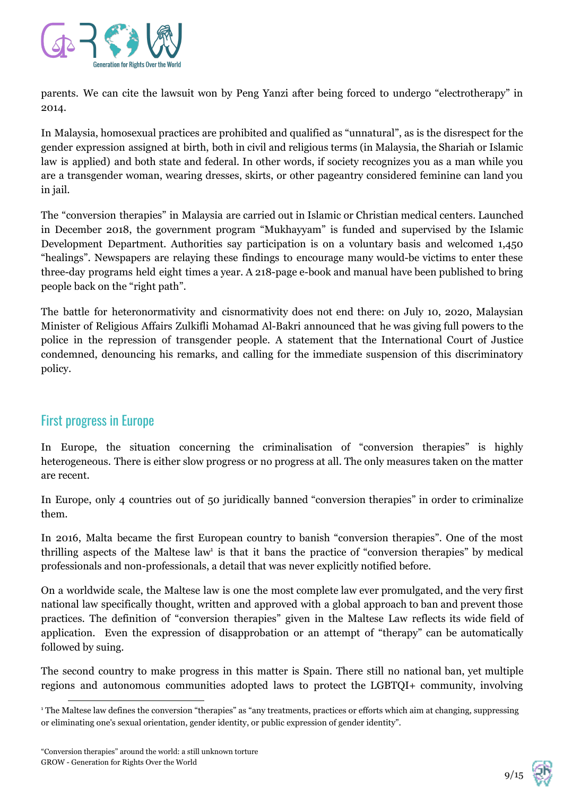

parents. We can cite the lawsuit won by Peng Yanzi after being forced to undergo "electrotherapy" in 2014.

In Malaysia, homosexual practices are prohibited and qualified as "unnatural", as is the disrespect for the gender expression assigned at birth, both in civil and religious terms (in Malaysia, the Shariah or Islamic law is applied) and both state and federal. In other words, if society recognizes you as a man while you are a transgender woman, wearing dresses, skirts, or other pageantry considered feminine can land you in jail.

The "conversion therapies" in Malaysia are carried out in Islamic or Christian medical centers. Launched in December 2018, the government program "Mukhayyam" is funded and supervised by the Islamic Development Department. Authorities say participation is on a voluntary basis and welcomed 1,450 "healings". Newspapers are relaying these findings to encourage many would-be victims to enter these three-day programs held eight times a year. A 218-page e-book and manual have been published to bring people back on the "right path".

The battle for heteronormativity and cisnormativity does not end there: on July 10, 2020, Malaysian Minister of Religious Affairs Zulkifli Mohamad Al-Bakri announced that he was giving full powers to the police in the repression of transgender people. A statement that the International Court of Justice condemned, denouncing his remarks, and calling for the immediate suspension of this discriminatory policy.

# First progress in Europe

In Europe, the situation concerning the criminalisation of "conversion therapies" is highly heterogeneous. There is either slow progress or no progress at all. The only measures taken on the matter are recent.

In Europe, only 4 countries out of 50 juridically banned "conversion therapies" in order to criminalize them.

In 2016, Malta became the first European country to banish "conversion therapies". One of the most thrilling aspects of the Maltese law<sup>1</sup> is that it bans the practice of "conversion therapies" by medical professionals and non-professionals, a detail that was never explicitly notified before.

On a worldwide scale, the Maltese law is one the most complete law ever promulgated, and the very first national law specifically thought, written and approved with a global approach to ban and prevent those practices. The definition of "conversion therapies" given in the Maltese Law reflects its wide field of application. Even the expression of disapprobation or an attempt of "therapy" can be automatically followed by suing.

The second country to make progress in this matter is Spain. There still no national ban, yet multiple regions and autonomous communities adopted laws to protect the LGBTQI+ community, involving



<sup>1</sup> The Maltese law defines the conversion "therapies" as "any treatments, practices or efforts which aim at changing, suppressing or eliminating one's sexual orientation, gender identity, or public expression of gender identity".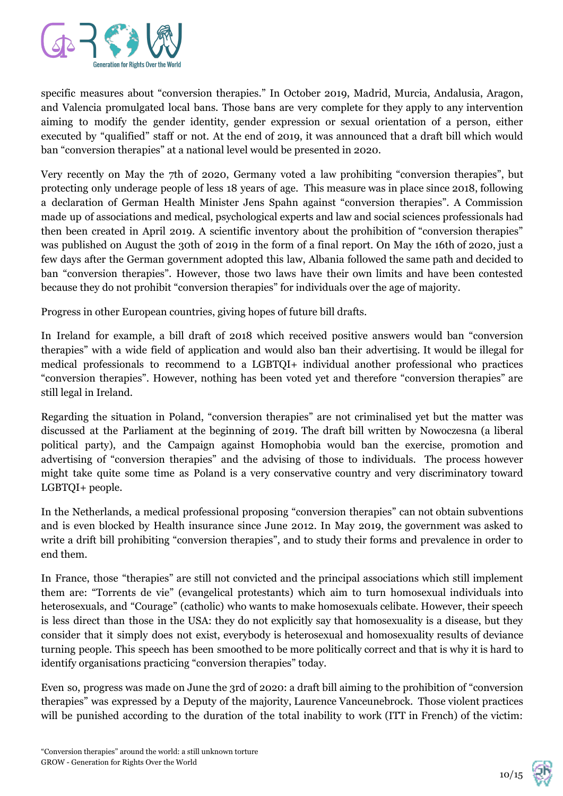

specific measures about "conversion therapies." In October 2019, Madrid, Murcia, Andalusia, Aragon, and Valencia promulgated local bans. Those bans are very complete for they apply to any intervention aiming to modify the gender identity, gender expression or sexual orientation of a person, either executed by "qualified" staff or not. At the end of 2019, it was announced that a draft bill which would ban "conversion therapies" at a national level would be presented in 2020.

Very recently on May the 7th of 2020, Germany voted a law prohibiting "conversion therapies", but protecting only underage people of less 18 years of age. This measure was in place since 2018, following a declaration of German Health Minister Jens Spahn against "conversion therapies". A Commission made up of associations and medical, psychological experts and law and social sciences professionals had then been created in April 2019. A scientific inventory about the prohibition of "conversion therapies" was published on August the 30th of 2019 in the form of a final report. On May the 16th of 2020, just a few days after the German government adopted this law, Albania followed the same path and decided to ban "conversion therapies". However, those two laws have their own limits and have been contested because they do not prohibit "conversion therapies" for individuals over the age of majority.

Progress in other European countries, giving hopes of future bill drafts.

In Ireland for example, a bill draft of 2018 which received positive answers would ban "conversion therapies" with a wide field of application and would also ban their advertising. It would be illegal for medical professionals to recommend to a LGBTQI+ individual another professional who practices "conversion therapies". However, nothing has been voted yet and therefore "conversion therapies" are still legal in Ireland.

Regarding the situation in Poland, "conversion therapies" are not criminalised yet but the matter was discussed at the Parliament at the beginning of 2019. The draft bill written by Nowoczesna (a liberal political party), and the Campaign against Homophobia would ban the exercise, promotion and advertising of "conversion therapies" and the advising of those to individuals. The process however might take quite some time as Poland is a very conservative country and very discriminatory toward LGBTQI+ people.

In the Netherlands, a medical professional proposing "conversion therapies" can not obtain subventions and is even blocked by Health insurance since June 2012. In May 2019, the government was asked to write a drift bill prohibiting "conversion therapies", and to study their forms and prevalence in order to end them.

In France, those "therapies" are still not convicted and the principal associations which still implement them are: "Torrents de vie" (evangelical protestants) which aim to turn homosexual individuals into heterosexuals, and "Courage" (catholic) who wants to make homosexuals celibate. However, their speech is less direct than those in the USA: they do not explicitly say that homosexuality is a disease, but they consider that it simply does not exist, everybody is heterosexual and homosexuality results of deviance turning people. This speech has been smoothed to be more politically correct and that is why it is hard to identify organisations practicing "conversion therapies" today.

Even so, progress was made on June the 3rd of 2020: a draft bill aiming to the prohibition of "conversion therapies" was expressed by a Deputy of the majority, Laurence Vanceunebrock. Those violent practices will be punished according to the duration of the total inability to work (ITT in French) of the victim:

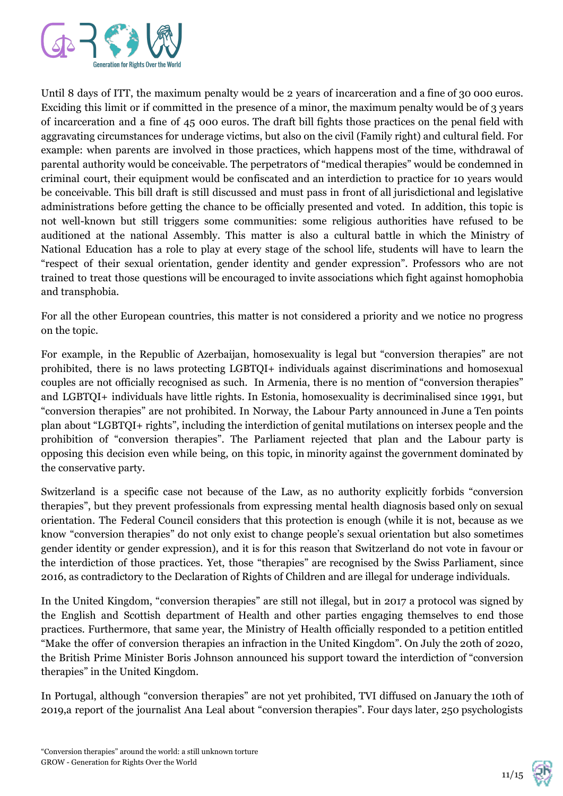

Until 8 days of ITT, the maximum penalty would be 2 years of incarceration and a fine of 30 000 euros. Exciding this limit or if committed in the presence of a minor, the maximum penalty would be of 3 years of incarceration and a fine of 45 000 euros. The draft bill fights those practices on the penal field with aggravating circumstances for underage victims, but also on the civil (Family right) and cultural field. For example: when parents are involved in those practices, which happens most of the time, withdrawal of parental authority would be conceivable. The perpetrators of "medical therapies" would be condemned in criminal court, their equipment would be confiscated and an interdiction to practice for 10 years would be conceivable. This bill draft is still discussed and must pass in front of all jurisdictional and legislative administrations before getting the chance to be officially presented and voted. In addition, this topic is not well-known but still triggers some communities: some religious authorities have refused to be auditioned at the national Assembly. This matter is also a cultural battle in which the Ministry of National Education has a role to play at every stage of the school life, students will have to learn the "respect of their sexual orientation, gender identity and gender expression". Professors who are not trained to treat those questions will be encouraged to invite associations which fight against homophobia and transphobia.

For all the other European countries, this matter is not considered a priority and we notice no progress on the topic.

For example, in the Republic of Azerbaijan, homosexuality is legal but "conversion therapies" are not prohibited, there is no laws protecting LGBTQI+ individuals against discriminations and homosexual couples are not officially recognised as such. In Armenia, there is no mention of "conversion therapies" and LGBTQI+ individuals have little rights. In Estonia, homosexuality is decriminalised since 1991, but "conversion therapies" are not prohibited. In Norway, the Labour Party announced in June a Ten points plan about "LGBTQI+ rights", including the interdiction of genital mutilations on intersex people and the prohibition of "conversion therapies". The Parliament rejected that plan and the Labour party is opposing this decision even while being, on this topic, in minority against the government dominated by the conservative party.

Switzerland is a specific case not because of the Law, as no authority explicitly forbids "conversion therapies", but they prevent professionals from expressing mental health diagnosis based only on sexual orientation. The Federal Council considers that this protection is enough (while it is not, because as we know "conversion therapies" do not only exist to change people's sexual orientation but also sometimes gender identity or gender expression), and it is for this reason that Switzerland do not vote in favour or the interdiction of those practices. Yet, those "therapies" are recognised by the Swiss Parliament, since 2016, as contradictory to the Declaration of Rights of Children and are illegal for underage individuals.

In the United Kingdom, "conversion therapies" are still not illegal, but in 2017 a protocol was signed by the English and Scottish department of Health and other parties engaging themselves to end those practices. Furthermore, that same year, the Ministry of Health officially responded to a petition entitled "Make the offer of conversion therapies an infraction in the United Kingdom". On July the 20th of 2020, the British Prime Minister Boris Johnson announced his support toward the interdiction of "conversion therapies" in the United Kingdom.

In Portugal, although "conversion therapies" are not yet prohibited, TVI diffused on January the 10th of 2019,a report of the journalist Ana Leal about "conversion therapies". Four days later, 250 psychologists

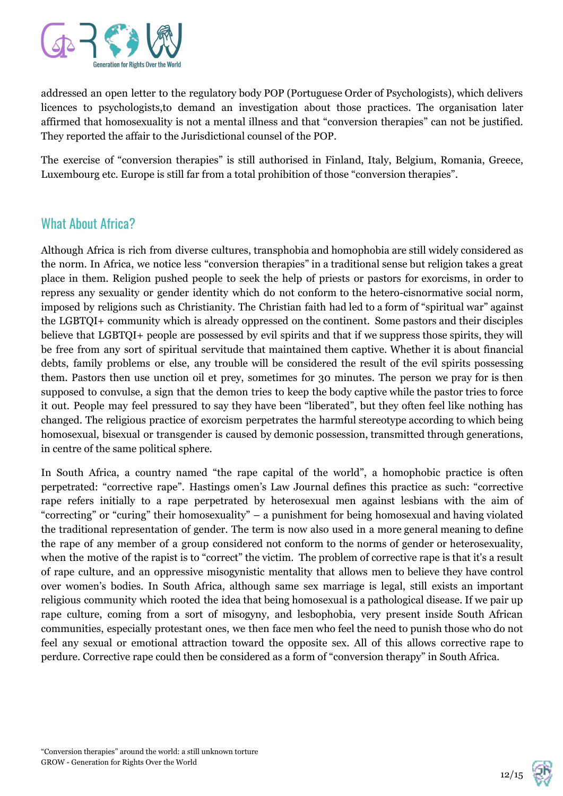

addressed an open letter to the regulatory body POP (Portuguese Order of Psychologists), which delivers licences to psychologists,to demand an investigation about those practices. The organisation later affirmed that homosexuality is not a mental illness and that "conversion therapies" can not be justified. They reported the affair to the Jurisdictional counsel of the POP.

The exercise of "conversion therapies" is still authorised in Finland, Italy, Belgium, Romania, Greece, Luxembourg etc. Europe is still far from a total prohibition of those "conversion therapies".

#### What About Africa?

Although Africa is rich from diverse cultures, transphobia and homophobia are still widely considered as the norm. In Africa, we notice less "conversion therapies" in a traditional sense but religion takes a great place in them. Religion pushed people to seek the help of priests or pastors for exorcisms, in order to repress any sexuality or gender identity which do not conform to the hetero-cisnormative social norm, imposed by religions such as Christianity. The Christian faith had led to a form of "spiritual war" against the LGBTQI+ community which is already oppressed on the continent. Some pastors and their disciples believe that LGBTQI+ people are possessed by evil spirits and that if we suppress those spirits, they will be free from any sort of spiritual servitude that maintained them captive. Whether it is about financial debts, family problems or else, any trouble will be considered the result of the evil spirits possessing them. Pastors then use unction oil et prey, sometimes for 30 minutes. The person we pray for is then supposed to convulse, a sign that the demon tries to keep the body captive while the pastor tries to force it out. People may feel pressured to say they have been "liberated", but they often feel like nothing has changed. The religious practice of exorcism perpetrates the harmful stereotype according to which being homosexual, bisexual or transgender is caused by demonic possession, transmitted through generations, in centre of the same political sphere.

In South Africa, a country named "the rape capital of the world", a homophobic practice is often perpetrated: "corrective rape". Hastings omen's Law Journal defines this practice as such: "corrective rape refers initially to a rape perpetrated by heterosexual men against lesbians with the aim of "correcting" or "curing" their homosexuality" – a punishment for being homosexual and having violated the traditional representation of gender. The term is now also used in a more general meaning to define the rape of any member of a group considered not conform to the norms of gender or heterosexuality, when the motive of the rapist is to "correct" the victim. The problem of corrective rape is that it's a result of rape culture, and an oppressive misogynistic mentality that allows men to believe they have control over women's bodies. In South Africa, although same sex marriage is legal, still exists an important religious community which rooted the idea that being homosexual is a pathological disease. If we pair up rape culture, coming from a sort of misogyny, and lesbophobia, very present inside South African communities, especially protestant ones, we then face men who feel the need to punish those who do not feel any sexual or emotional attraction toward the opposite sex. All of this allows corrective rape to perdure. Corrective rape could then be considered as a form of "conversion therapy" in South Africa.

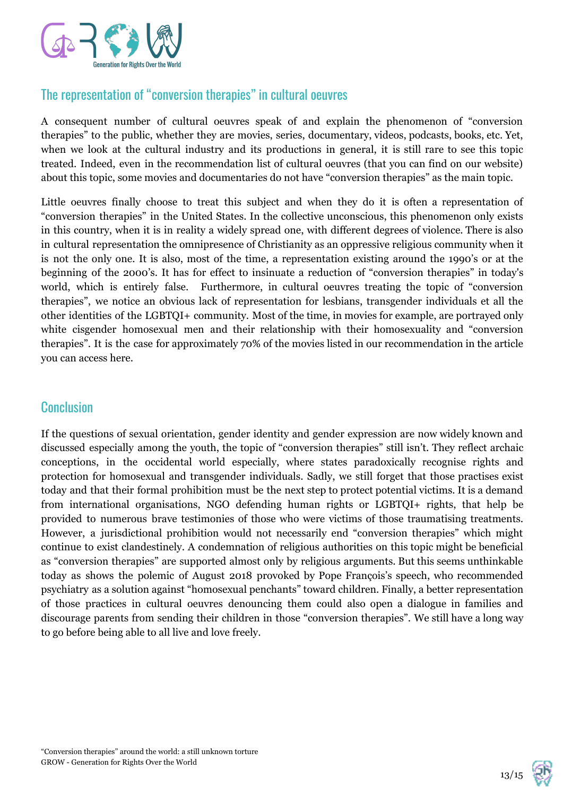

# The representation of "conversion therapies" in cultural oeuvres

A consequent number of cultural oeuvres speak of and explain the phenomenon of "conversion therapies" to the public, whether they are movies, series, documentary, videos, podcasts, books, etc. Yet, when we look at the cultural industry and its productions in general, it is still rare to see this topic treated. Indeed, even in the recommendation list of cultural oeuvres (that you can find on our website) about this topic, some movies and documentaries do not have "conversion therapies" as the main topic.

Little oeuvres finally choose to treat this subject and when they do it is often a representation of "conversion therapies" in the United States. In the collective unconscious, this phenomenon only exists in this country, when it is in reality a widely spread one, with different degrees of violence. There is also in cultural representation the omnipresence of Christianity as an oppressive religious community when it is not the only one. It is also, most of the time, a representation existing around the 1990's or at the beginning of the 2000's. It has for effect to insinuate a reduction of "conversion therapies" in today's world, which is entirely false. Furthermore, in cultural oeuvres treating the topic of "conversion therapies", we notice an obvious lack of representation for lesbians, transgender individuals et all the other identities of the LGBTQI+ community. Most of the time, in movies for example, are portrayed only white cisgender homosexual men and their relationship with their homosexuality and "conversion therapies". It is the case for approximately 70% of the movies listed in our recommendation in the article you can access here.

#### **Conclusion**

If the questions of sexual orientation, gender identity and gender expression are now widely known and discussed especially among the youth, the topic of "conversion therapies" still isn't. They reflect archaic conceptions, in the occidental world especially, where states paradoxically recognise rights and protection for homosexual and transgender individuals. Sadly, we still forget that those practises exist today and that their formal prohibition must be the next step to protect potential victims. It is a demand from international organisations, NGO defending human rights or LGBTQI+ rights, that help be provided to numerous brave testimonies of those who were victims of those traumatising treatments. However, a jurisdictional prohibition would not necessarily end "conversion therapies" which might continue to exist clandestinely. A condemnation of religious authorities on this topic might be beneficial as "conversion therapies" are supported almost only by religious arguments. But this seems unthinkable today as shows the polemic of August 2018 provoked by Pope François's speech, who recommended psychiatry as a solution against "homosexual penchants" toward children. Finally, a better representation of those practices in cultural oeuvres denouncing them could also open a dialogue in families and discourage parents from sending their children in those "conversion therapies". We still have a long way to go before being able to all live and love freely.

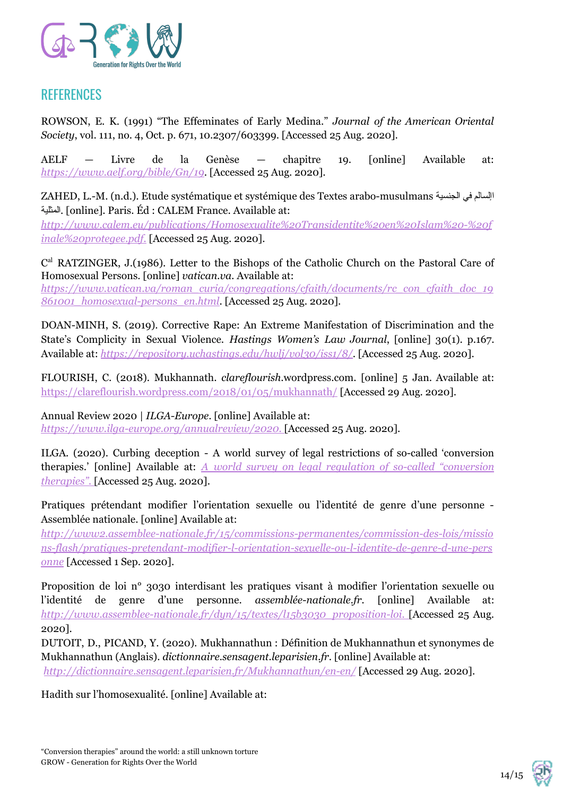

# **REFERENCES**

ROWSON, E. K. (1991) "The Effeminates of Early Medina." *Journal of the American Oriental Society*, vol. 111, no. 4, Oct. p. 671, 10.2307/603399. [Accessed 25 Aug. 2020].

AELF — Livre de la Genèse — chapitre 19. [online] Available at: *<https://www.aelf.org/bible/Gn/19>*. [Accessed 25 Aug. 2020].

ZAHED, L.-M. (n.d.). Etude systématique et systémique des Textes arabo-musulmans الجنسیة في اإلسالم المثلیة.] online]. Paris. Éd : CALEM France. Available at:

*[http://www.calem.eu/publications/Homosexualite%20Transidentite%20en%20Islam%20-%20f](http://www.calem.eu/publications/Homosexualite%20Transidentite%20en%20Islam%20-%20finale%20protegee.pdf) [inale%20protegee.pdf](http://www.calem.eu/publications/Homosexualite%20Transidentite%20en%20Islam%20-%20finale%20protegee.pdf).* [Accessed 25 Aug. 2020].

C<sup>al</sup> RATZINGER, J.(1986). Letter to the Bishops of the Catholic Church on the Pastoral Care of Homosexual Persons. [online] *vatican.va.* Available at: *[https://www.vatican.va/roman\\_curia/congregations/cfaith/documents/rc\\_con\\_cfaith\\_doc\\_19](https://www.vatican.va/roman_curia/congregations/cfaith/documents/rc_con_cfaith_doc_19861001_homosexual-persons_en.html)*

*[861001\\_homosexual-persons\\_en.html](https://www.vatican.va/roman_curia/congregations/cfaith/documents/rc_con_cfaith_doc_19861001_homosexual-persons_en.html)*. [Accessed 25 Aug. 2020].

DOAN-MINH, S. (2019). Corrective Rape: An Extreme Manifestation of Discrimination and the State's Complicity in Sexual Violence. *Hastings Women's Law Journal*, [online] 30(1). p.167. Available at: *<https://repository.uchastings.edu/hwlj/vol30/iss1/8/>*. [Accessed 25 Aug. 2020].

FLOURISH, C. (2018). Mukhannath. *clareflourish*.wordpress.com. [online] 5 Jan. Available at: <https://clareflourish.wordpress.com/2018/01/05/mukhannath/> [Accessed 29 Aug. 2020].

Annual Review 2020 | *ILGA-Europe*. [online] Available at: *[https://www.ilga-europe.org/annualreview/2020.](https://www.ilga-europe.org/annualreview/2020)* [Accessed 25 Aug. 2020].

ILGA. (2020). Curbing deception - A world survey of legal restrictions of so-called 'conversion therapies.' [online] Available at: *A world survey on legal regulation of so-called ["conversion](https://ilga.org/Conversion-therapy-global-research-ILGA-World-curbing-deception-february-2020) [therapies".](https://ilga.org/Conversion-therapy-global-research-ILGA-World-curbing-deception-february-2020)* [Accessed 25 Aug. 2020].

Pratiques prétendant modifier l'orientation sexuelle ou l'identité de genre d'une personne - Assemblée nationale. [online] Available at:

*[http://www2.assemblee-nationale.fr/15/commissions-permanentes/commission-des-lois/missio](http://www2.assemblee-nationale.fr/15/commissions-permanentes/commission-des-lois/missions-flash/pratiques-pretendant-modifier-l-orientation-sexuelle-ou-l-identite-de-genre-d-une-personne) [ns-flash/pratiques-pretendant-modifier-l-orientation-sexuelle-ou-l-identite-de-genre-d-une-pers](http://www2.assemblee-nationale.fr/15/commissions-permanentes/commission-des-lois/missions-flash/pratiques-pretendant-modifier-l-orientation-sexuelle-ou-l-identite-de-genre-d-une-personne) [onne](http://www2.assemblee-nationale.fr/15/commissions-permanentes/commission-des-lois/missions-flash/pratiques-pretendant-modifier-l-orientation-sexuelle-ou-l-identite-de-genre-d-une-personne)* [Accessed 1 Sep. 2020].

Proposition de loi n° 3030 interdisant les pratiques visant à modifier l'orientation sexuelle ou l'identité de genre d'une personne. *assemblée-nationale.fr.* [online] Available at: *[http://www.assemblee-nationale.fr/dyn/15/textes/l15b3030\\_proposition-loi.](http://www.assemblee-nationale.fr/dyn/15/textes/l15b3030_proposition-loi)* [Accessed 25 Aug. 2020].

DUTOIT, D., PICAND, Y. (2020). Mukhannathun : Définition de Mukhannathun et synonymes de Mukhannathun (Anglais). *dictionnaire.sensagent.leparisien.fr*. [online] Available at: *<http://dictionnaire.sensagent.leparisien.fr/Mukhannathun/en-en/>* [Accessed 29 Aug. 2020].

Hadith sur l'homosexualité. [online] Available at: